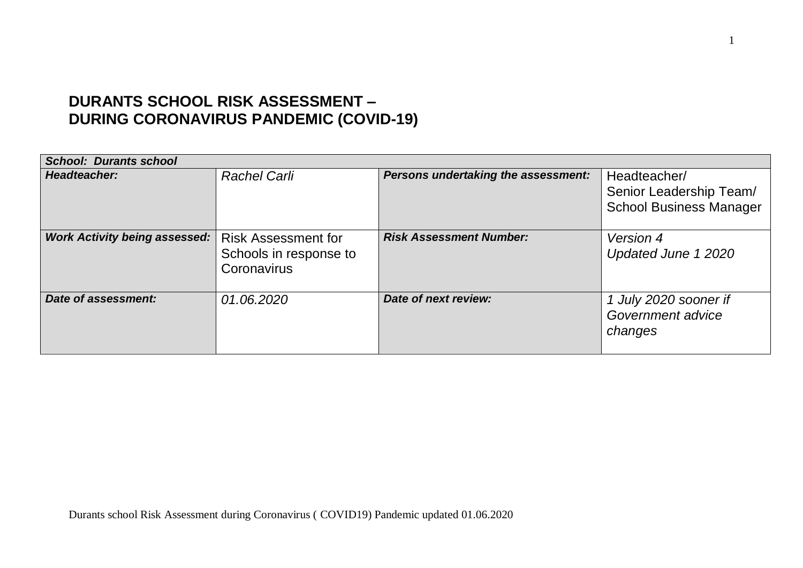## **DURANTS SCHOOL RISK ASSESSMENT – DURING CORONAVIRUS PANDEMIC (COVID-19)**

| <b>School: Durants school</b>        |                                                                     |                                     |                                                                           |
|--------------------------------------|---------------------------------------------------------------------|-------------------------------------|---------------------------------------------------------------------------|
| Headteacher:                         | <b>Rachel Carli</b>                                                 | Persons undertaking the assessment: | Headteacher/<br>Senior Leadership Team/<br><b>School Business Manager</b> |
| <b>Work Activity being assessed:</b> | <b>Risk Assessment for</b><br>Schools in response to<br>Coronavirus | <b>Risk Assessment Number:</b>      | Version 4<br>Updated June 1 2020                                          |
| Date of assessment:                  | 01.06.2020                                                          | <b>Date of next review:</b>         | 1 July 2020 sooner if<br>Government advice<br>changes                     |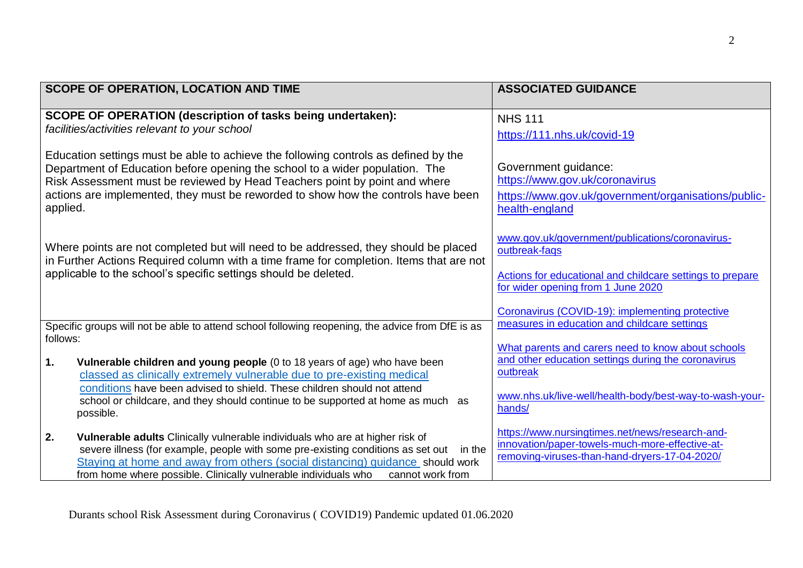| <b>SCOPE OF OPERATION, LOCATION AND TIME</b>                                                                                                                                                                                                                                                                                                              | <b>ASSOCIATED GUIDANCE</b>                                                                                                                                          |
|-----------------------------------------------------------------------------------------------------------------------------------------------------------------------------------------------------------------------------------------------------------------------------------------------------------------------------------------------------------|---------------------------------------------------------------------------------------------------------------------------------------------------------------------|
| <b>SCOPE OF OPERATION (description of tasks being undertaken):</b><br>facilities/activities relevant to your school                                                                                                                                                                                                                                       | <b>NHS 111</b><br>https://111.nhs.uk/covid-19                                                                                                                       |
| Education settings must be able to achieve the following controls as defined by the<br>Department of Education before opening the school to a wider population. The<br>Risk Assessment must be reviewed by Head Teachers point by point and where<br>actions are implemented, they must be reworded to show how the controls have been<br>applied.        | Government guidance:<br>https://www.gov.uk/coronavirus<br>https://www.gov.uk/government/organisations/public-<br>health-england                                     |
| Where points are not completed but will need to be addressed, they should be placed<br>in Further Actions Required column with a time frame for completion. Items that are not<br>applicable to the school's specific settings should be deleted.                                                                                                         | www.gov.uk/government/publications/coronavirus-<br>outbreak-faqs<br>Actions for educational and childcare settings to prepare<br>for wider opening from 1 June 2020 |
| Specific groups will not be able to attend school following reopening, the advice from DfE is as<br>follows:                                                                                                                                                                                                                                              | Coronavirus (COVID-19): implementing protective<br>measures in education and childcare settings<br>What parents and carers need to know about schools               |
| Vulnerable children and young people (0 to 18 years of age) who have been<br>1.<br>classed as clinically extremely vulnerable due to pre-existing medical<br>conditions have been advised to shield. These children should not attend<br>school or childcare, and they should continue to be supported at home as much as<br>possible.                    | and other education settings during the coronavirus<br>outbreak<br>www.nhs.uk/live-well/health-body/best-way-to-wash-your-<br>hands/                                |
| 2.<br>Vulnerable adults Clinically vulnerable individuals who are at higher risk of<br>severe illness (for example, people with some pre-existing conditions as set out<br>in the<br>Staying at home and away from others (social distancing) guidance should work<br>from home where possible. Clinically vulnerable individuals who<br>cannot work from | https://www.nursingtimes.net/news/research-and-<br>innovation/paper-towels-much-more-effective-at-<br>removing-viruses-than-hand-dryers-17-04-2020/                 |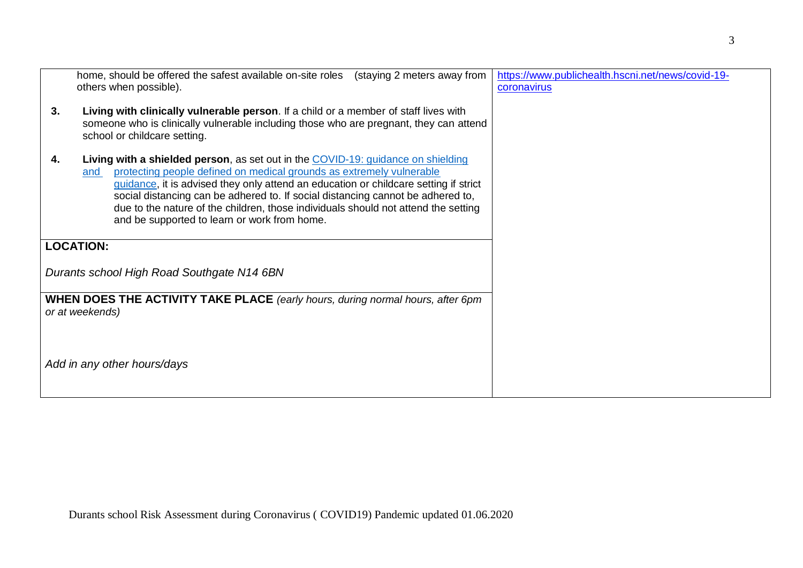| home, should be offered the safest available on-site roles (staying 2 meters away from<br>others when possible).                                                                                                                                                                                                                                                                                                                                                                               | https://www.publichealth.hscni.net/news/covid-19-<br>coronavirus |
|------------------------------------------------------------------------------------------------------------------------------------------------------------------------------------------------------------------------------------------------------------------------------------------------------------------------------------------------------------------------------------------------------------------------------------------------------------------------------------------------|------------------------------------------------------------------|
| 3.<br>Living with clinically vulnerable person. If a child or a member of staff lives with<br>someone who is clinically vulnerable including those who are pregnant, they can attend<br>school or childcare setting.                                                                                                                                                                                                                                                                           |                                                                  |
| <b>Living with a shielded person</b> , as set out in the COVID-19: guidance on shielding<br>4.<br>protecting people defined on medical grounds as extremely vulnerable<br>and<br>guidance, it is advised they only attend an education or childcare setting if strict<br>social distancing can be adhered to. If social distancing cannot be adhered to,<br>due to the nature of the children, those individuals should not attend the setting<br>and be supported to learn or work from home. |                                                                  |
| <b>LOCATION:</b>                                                                                                                                                                                                                                                                                                                                                                                                                                                                               |                                                                  |
| Durants school High Road Southgate N14 6BN                                                                                                                                                                                                                                                                                                                                                                                                                                                     |                                                                  |
| <b>WHEN DOES THE ACTIVITY TAKE PLACE</b> (early hours, during normal hours, after 6pm<br>or at weekends)                                                                                                                                                                                                                                                                                                                                                                                       |                                                                  |
| Add in any other hours/days                                                                                                                                                                                                                                                                                                                                                                                                                                                                    |                                                                  |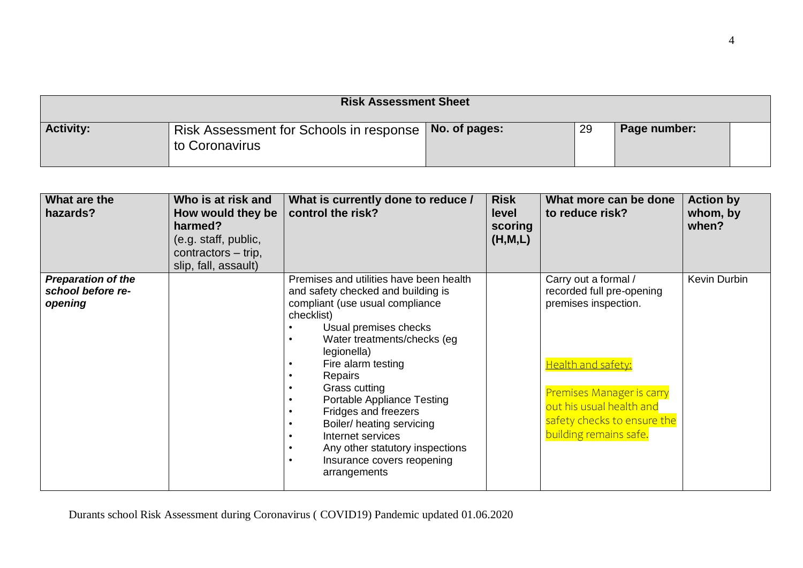| <b>Risk Assessment Sheet</b> |                                                                             |  |    |              |  |
|------------------------------|-----------------------------------------------------------------------------|--|----|--------------|--|
| <b>Activity:</b>             | Risk Assessment for Schools in response   No. of pages: \<br>to Coronavirus |  | 29 | Page number: |  |

| What are the<br>hazards?                                  | Who is at risk and<br>How would they be<br>harmed?<br>(e.g. staff, public,<br>contractors – trip,<br>slip, fall, assault) | What is currently done to reduce /<br>control the risk?                                                                                                                                                                                                                                                                                                                                                                                                                                                                                                                                                 | <b>Risk</b><br><b>level</b><br>scoring<br>(H, M, L) | What more can be done<br>to reduce risk?                                                                                                                                                                          | <b>Action by</b><br>whom, by<br>when? |
|-----------------------------------------------------------|---------------------------------------------------------------------------------------------------------------------------|---------------------------------------------------------------------------------------------------------------------------------------------------------------------------------------------------------------------------------------------------------------------------------------------------------------------------------------------------------------------------------------------------------------------------------------------------------------------------------------------------------------------------------------------------------------------------------------------------------|-----------------------------------------------------|-------------------------------------------------------------------------------------------------------------------------------------------------------------------------------------------------------------------|---------------------------------------|
| <b>Preparation of the</b><br>school before re-<br>opening |                                                                                                                           | Premises and utilities have been health<br>and safety checked and building is<br>compliant (use usual compliance<br>checklist)<br>Usual premises checks<br>$\bullet$<br>Water treatments/checks (eg)<br>$\bullet$<br>legionella)<br>Fire alarm testing<br>$\bullet$<br>Repairs<br>$\bullet$<br>Grass cutting<br>$\bullet$<br><b>Portable Appliance Testing</b><br>$\bullet$<br>Fridges and freezers<br>$\bullet$<br>Boiler/ heating servicing<br>$\bullet$<br>Internet services<br>$\bullet$<br>Any other statutory inspections<br>$\bullet$<br>Insurance covers reopening<br>$\bullet$<br>arrangements |                                                     | Carry out a formal /<br>recorded full pre-opening<br>premises inspection.<br>Health and safety:<br>Premises Manager is carry<br>out his usual health and<br>safety checks to ensure the<br>building remains safe. | Kevin Durbin                          |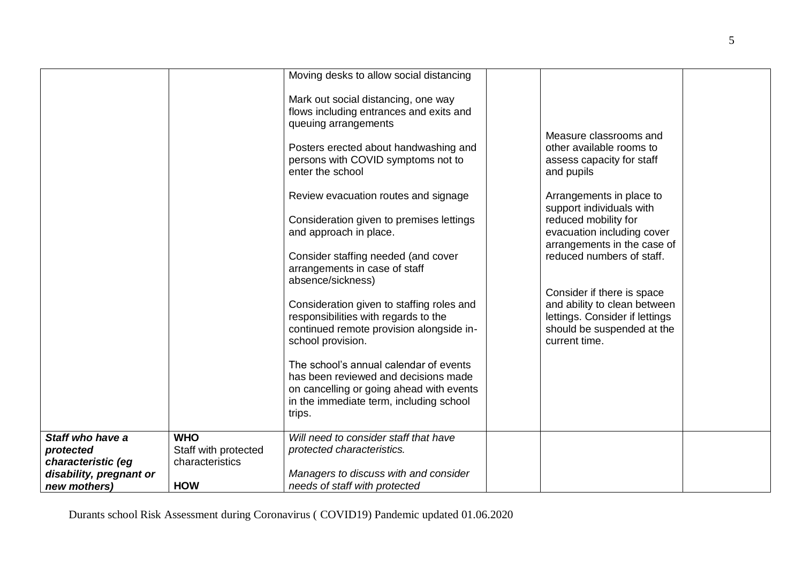|                                 |                                         | Moving desks to allow social distancing                                                                                                                                                                                                                                                                                                                                                                                                                                                                                                                                                                                                                                                                  |                                                                                                                                                                                                                                                                                                                                                                                                                        |  |
|---------------------------------|-----------------------------------------|----------------------------------------------------------------------------------------------------------------------------------------------------------------------------------------------------------------------------------------------------------------------------------------------------------------------------------------------------------------------------------------------------------------------------------------------------------------------------------------------------------------------------------------------------------------------------------------------------------------------------------------------------------------------------------------------------------|------------------------------------------------------------------------------------------------------------------------------------------------------------------------------------------------------------------------------------------------------------------------------------------------------------------------------------------------------------------------------------------------------------------------|--|
|                                 |                                         | Mark out social distancing, one way<br>flows including entrances and exits and<br>queuing arrangements<br>Posters erected about handwashing and<br>persons with COVID symptoms not to<br>enter the school<br>Review evacuation routes and signage<br>Consideration given to premises lettings<br>and approach in place.<br>Consider staffing needed (and cover<br>arrangements in case of staff<br>absence/sickness)<br>Consideration given to staffing roles and<br>responsibilities with regards to the<br>continued remote provision alongside in-<br>school provision.<br>The school's annual calendar of events<br>has been reviewed and decisions made<br>on cancelling or going ahead with events | Measure classrooms and<br>other available rooms to<br>assess capacity for staff<br>and pupils<br>Arrangements in place to<br>support individuals with<br>reduced mobility for<br>evacuation including cover<br>arrangements in the case of<br>reduced numbers of staff.<br>Consider if there is space<br>and ability to clean between<br>lettings. Consider if lettings<br>should be suspended at the<br>current time. |  |
|                                 |                                         | in the immediate term, including school<br>trips.                                                                                                                                                                                                                                                                                                                                                                                                                                                                                                                                                                                                                                                        |                                                                                                                                                                                                                                                                                                                                                                                                                        |  |
|                                 | <b>WHO</b>                              | Will need to consider staff that have                                                                                                                                                                                                                                                                                                                                                                                                                                                                                                                                                                                                                                                                    |                                                                                                                                                                                                                                                                                                                                                                                                                        |  |
| Staff who have a                |                                         | protected characteristics.                                                                                                                                                                                                                                                                                                                                                                                                                                                                                                                                                                                                                                                                               |                                                                                                                                                                                                                                                                                                                                                                                                                        |  |
| protected<br>characteristic (eg | Staff with protected<br>characteristics |                                                                                                                                                                                                                                                                                                                                                                                                                                                                                                                                                                                                                                                                                                          |                                                                                                                                                                                                                                                                                                                                                                                                                        |  |
| disability, pregnant or         |                                         | Managers to discuss with and consider                                                                                                                                                                                                                                                                                                                                                                                                                                                                                                                                                                                                                                                                    |                                                                                                                                                                                                                                                                                                                                                                                                                        |  |
|                                 |                                         |                                                                                                                                                                                                                                                                                                                                                                                                                                                                                                                                                                                                                                                                                                          |                                                                                                                                                                                                                                                                                                                                                                                                                        |  |
| new mothers)                    | <b>HOW</b>                              | needs of staff with protected                                                                                                                                                                                                                                                                                                                                                                                                                                                                                                                                                                                                                                                                            |                                                                                                                                                                                                                                                                                                                                                                                                                        |  |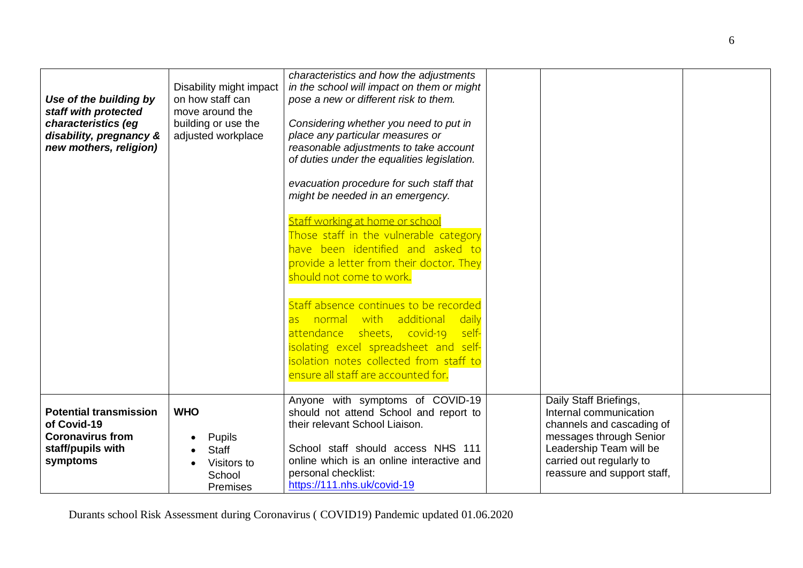| Use of the building by<br>staff with protected<br>characteristics (eg<br>disability, pregnancy &<br>new mothers, religion) | Disability might impact<br>on how staff can<br>move around the<br>building or use the<br>adjusted workplace | characteristics and how the adjustments<br>in the school will impact on them or might<br>pose a new or different risk to them.<br>Considering whether you need to put in<br>place any particular measures or<br>reasonable adjustments to take account<br>of duties under the equalities legislation.<br>evacuation procedure for such staff that<br>might be needed in an emergency.<br>Staff working at home or school<br>Those staff in the vulnerable category<br>have been identified and asked to<br>provide a letter from their doctor. They<br>should not come to work.<br>Staff absence continues to be recorded<br>normal with additional<br>daily<br>as<br>attendance sheets, covid-19<br>self-<br>isolating excel spreadsheet and self-<br>isolation notes collected from staff to<br>ensure all staff are accounted for. |                                                                                                                                                                                                |  |
|----------------------------------------------------------------------------------------------------------------------------|-------------------------------------------------------------------------------------------------------------|---------------------------------------------------------------------------------------------------------------------------------------------------------------------------------------------------------------------------------------------------------------------------------------------------------------------------------------------------------------------------------------------------------------------------------------------------------------------------------------------------------------------------------------------------------------------------------------------------------------------------------------------------------------------------------------------------------------------------------------------------------------------------------------------------------------------------------------|------------------------------------------------------------------------------------------------------------------------------------------------------------------------------------------------|--|
| <b>Potential transmission</b><br>of Covid-19<br><b>Coronavirus from</b><br>staff/pupils with<br>symptoms                   | <b>WHO</b><br>Pupils<br>Staff<br>Visitors to<br>School<br>Premises                                          | Anyone with symptoms of COVID-19<br>should not attend School and report to<br>their relevant School Liaison.<br>School staff should access NHS 111<br>online which is an online interactive and<br>personal checklist:<br>https://111.nhs.uk/covid-19                                                                                                                                                                                                                                                                                                                                                                                                                                                                                                                                                                                 | Daily Staff Briefings,<br>Internal communication<br>channels and cascading of<br>messages through Senior<br>Leadership Team will be<br>carried out regularly to<br>reassure and support staff, |  |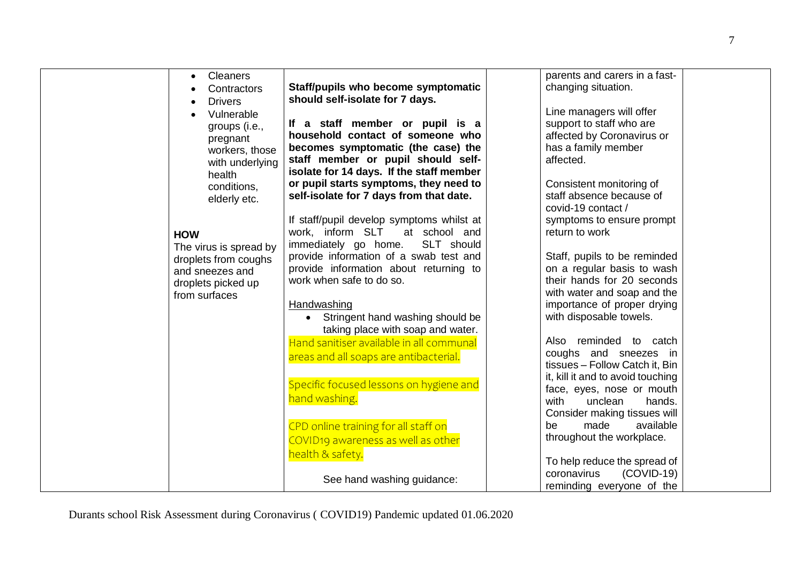| <b>Cleaners</b><br>Contractors<br><b>Drivers</b><br>Vulnerable<br>groups (i.e.,<br>pregnant<br>workers, those<br>with underlying<br>health<br>conditions,<br>elderly etc.<br><b>HOW</b><br>The virus is spread by<br>droplets from coughs<br>and sneezes and<br>droplets picked up<br>from surfaces | Staff/pupils who become symptomatic<br>should self-isolate for 7 days.<br>If a staff member or pupil is a<br>household contact of someone who<br>becomes symptomatic (the case) the<br>staff member or pupil should self-<br>isolate for 14 days. If the staff member<br>or pupil starts symptoms, they need to<br>self-isolate for 7 days from that date.<br>If staff/pupil develop symptoms whilst at<br>work, inform SLT<br>at school and<br>immediately go home.<br>SLT should<br>provide information of a swab test and<br>provide information about returning to<br>work when safe to do so.<br>Handwashing<br>• Stringent hand washing should be<br>taking place with soap and water.<br>Hand sanitiser available in all communal<br>areas and all soaps are antibacterial.<br>Specific focused lessons on hygiene and<br>hand washing.<br>CPD online training for all staff on<br>COVID19 awareness as well as other<br>health & safety.<br>See hand washing guidance: | parents and carers in a fast-<br>changing situation.<br>Line managers will offer<br>support to staff who are<br>affected by Coronavirus or<br>has a family member<br>affected.<br>Consistent monitoring of<br>staff absence because of<br>covid-19 contact /<br>symptoms to ensure prompt<br>return to work<br>Staff, pupils to be reminded<br>on a regular basis to wash<br>their hands for 20 seconds<br>with water and soap and the<br>importance of proper drying<br>with disposable towels.<br>reminded to catch<br>Also<br>coughs and sneezes in<br>tissues - Follow Catch it, Bin<br>it, kill it and to avoid touching<br>face, eyes, nose or mouth<br>unclean<br>with<br>hands.<br>Consider making tissues will<br>made<br>available<br>be<br>throughout the workplace.<br>To help reduce the spread of<br>$(COVID-19)$<br>coronavirus<br>reminding everyone of the |  |
|-----------------------------------------------------------------------------------------------------------------------------------------------------------------------------------------------------------------------------------------------------------------------------------------------------|--------------------------------------------------------------------------------------------------------------------------------------------------------------------------------------------------------------------------------------------------------------------------------------------------------------------------------------------------------------------------------------------------------------------------------------------------------------------------------------------------------------------------------------------------------------------------------------------------------------------------------------------------------------------------------------------------------------------------------------------------------------------------------------------------------------------------------------------------------------------------------------------------------------------------------------------------------------------------------|-----------------------------------------------------------------------------------------------------------------------------------------------------------------------------------------------------------------------------------------------------------------------------------------------------------------------------------------------------------------------------------------------------------------------------------------------------------------------------------------------------------------------------------------------------------------------------------------------------------------------------------------------------------------------------------------------------------------------------------------------------------------------------------------------------------------------------------------------------------------------------|--|
|                                                                                                                                                                                                                                                                                                     |                                                                                                                                                                                                                                                                                                                                                                                                                                                                                                                                                                                                                                                                                                                                                                                                                                                                                                                                                                                |                                                                                                                                                                                                                                                                                                                                                                                                                                                                                                                                                                                                                                                                                                                                                                                                                                                                             |  |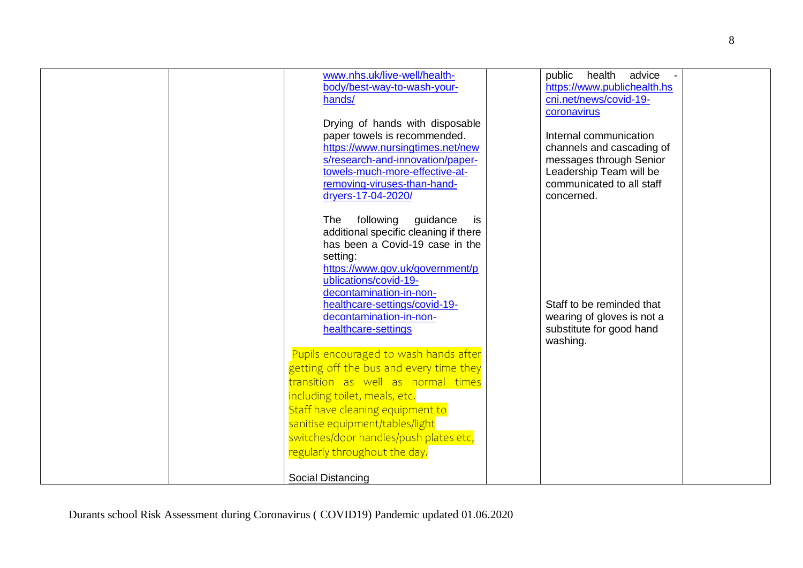| www.nhs.uk/live-well/health-<br>body/best-way-to-wash-your-<br>hands/<br>Drying of hands with disposable<br>paper towels is recommended.<br>https://www.nursingtimes.net/new<br>s/research-and-innovation/paper-<br>towels-much-more-effective-at-<br>removing-viruses-than-hand-<br>dryers-17-04-2020/                               | health<br>advice<br>public<br>https://www.publichealth.hs<br>cni.net/news/covid-19-<br>coronavirus<br>Internal communication<br>channels and cascading of<br>messages through Senior<br>Leadership Team will be<br>communicated to all staff<br>concerned. |
|---------------------------------------------------------------------------------------------------------------------------------------------------------------------------------------------------------------------------------------------------------------------------------------------------------------------------------------|------------------------------------------------------------------------------------------------------------------------------------------------------------------------------------------------------------------------------------------------------------|
| The<br>following<br>guidance<br>is<br>additional specific cleaning if there<br>has been a Covid-19 case in the<br>setting:<br>https://www.gov.uk/government/p<br>ublications/covid-19-<br>decontamination-in-non-<br>healthcare-settings/covid-19-<br>decontamination-in-non-<br>healthcare-settings                                  | Staff to be reminded that<br>wearing of gloves is not a<br>substitute for good hand<br>washing.                                                                                                                                                            |
| Pupils encouraged to wash hands after<br>getting off the bus and every time they<br>transition as well as normal times<br>including toilet, meals, etc.<br>Staff have cleaning equipment to<br>sanitise equipment/tables/light<br>switches/door handles/push plates etc,<br>regularly throughout the day.<br><b>Social Distancing</b> |                                                                                                                                                                                                                                                            |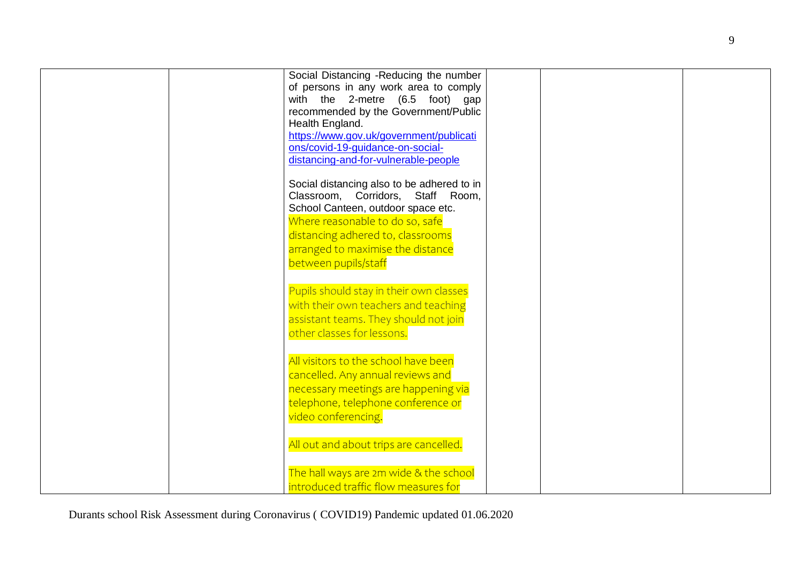|  | Social Distancing -Reducing the number     |  |  |
|--|--------------------------------------------|--|--|
|  | of persons in any work area to comply      |  |  |
|  | with the 2-metre (6.5 foot) gap            |  |  |
|  | recommended by the Government/Public       |  |  |
|  | Health England.                            |  |  |
|  | https://www.gov.uk/government/publicati    |  |  |
|  | ons/covid-19-guidance-on-social-           |  |  |
|  | distancing-and-for-vulnerable-people       |  |  |
|  | Social distancing also to be adhered to in |  |  |
|  | Classroom, Corridors, Staff Room,          |  |  |
|  | School Canteen, outdoor space etc.         |  |  |
|  | Where reasonable to do so, safe            |  |  |
|  | distancing adhered to, classrooms          |  |  |
|  | arranged to maximise the distance          |  |  |
|  | between pupils/staff                       |  |  |
|  |                                            |  |  |
|  | Pupils should stay in their own classes    |  |  |
|  | with their own teachers and teaching       |  |  |
|  | assistant teams. They should not join      |  |  |
|  | other classes for lessons.                 |  |  |
|  |                                            |  |  |
|  | All visitors to the school have been       |  |  |
|  | cancelled. Any annual reviews and          |  |  |
|  | necessary meetings are happening via       |  |  |
|  | telephone, telephone conference or         |  |  |
|  | video conferencing.                        |  |  |
|  |                                            |  |  |
|  | All out and about trips are cancelled.     |  |  |
|  |                                            |  |  |
|  | The hall ways are 2m wide & the school     |  |  |
|  | introduced traffic flow measures for       |  |  |
|  |                                            |  |  |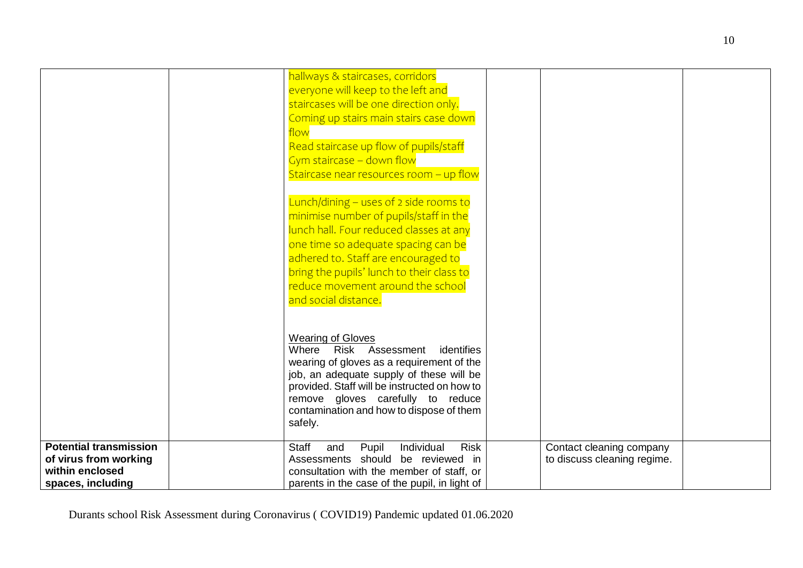|                               | hallways & staircases, corridors                          |                                                         |  |
|-------------------------------|-----------------------------------------------------------|---------------------------------------------------------|--|
|                               | everyone will keep to the left and                        |                                                         |  |
|                               | staircases will be one direction only.                    |                                                         |  |
|                               |                                                           |                                                         |  |
|                               | Coming up stairs main stairs case down                    |                                                         |  |
|                               | flow                                                      |                                                         |  |
|                               | Read staircase up flow of pupils/staff                    |                                                         |  |
|                               | Gym staircase - down flow                                 |                                                         |  |
|                               | Staircase near resources room - up flow                   |                                                         |  |
|                               |                                                           |                                                         |  |
|                               | Lunch/dining - uses of 2 side rooms to                    |                                                         |  |
|                               | minimise number of pupils/staff in the                    |                                                         |  |
|                               | lunch hall. Four reduced classes at any                   |                                                         |  |
|                               | one time so adequate spacing can be                       |                                                         |  |
|                               | adhered to. Staff are encouraged to                       |                                                         |  |
|                               | bring the pupils' lunch to their class to                 |                                                         |  |
|                               | reduce movement around the school                         |                                                         |  |
|                               | and social distance.                                      |                                                         |  |
|                               |                                                           |                                                         |  |
|                               |                                                           |                                                         |  |
|                               | <b>Wearing of Gloves</b>                                  |                                                         |  |
|                               | Risk Assessment<br>Where<br>identifies                    |                                                         |  |
|                               | wearing of gloves as a requirement of the                 |                                                         |  |
|                               | job, an adequate supply of these will be                  |                                                         |  |
|                               | provided. Staff will be instructed on how to              |                                                         |  |
|                               | remove gloves carefully to reduce                         |                                                         |  |
|                               | contamination and how to dispose of them                  |                                                         |  |
|                               | safely.                                                   |                                                         |  |
| <b>Potential transmission</b> | <b>Staff</b><br>Individual<br><b>Risk</b><br>Pupil<br>and |                                                         |  |
| of virus from working         | Assessments should be reviewed in                         | Contact cleaning company<br>to discuss cleaning regime. |  |
| within enclosed               | consultation with the member of staff, or                 |                                                         |  |
| spaces, including             | parents in the case of the pupil, in light of             |                                                         |  |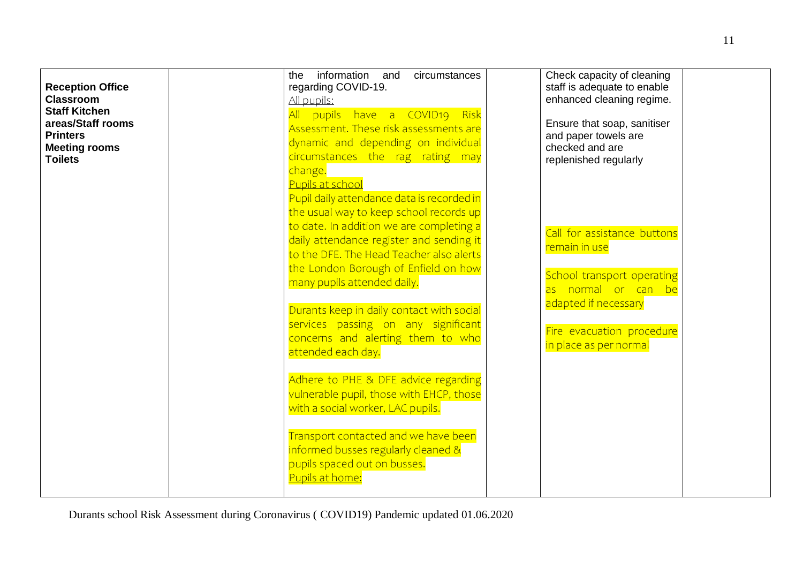| <b>Reception Office</b><br><b>Classroom</b><br><b>Staff Kitchen</b><br>areas/Staff rooms<br><b>Printers</b><br><b>Meeting rooms</b><br><b>Toilets</b> | information and<br>circumstances<br>the<br>regarding COVID-19.<br>All pupils:<br>All pupils have a COVID19 Risk<br>Assessment. These risk assessments are<br>dynamic and depending on individual<br>circumstances the rag rating may<br>change.<br>Pupils at school                                                                                                                                                       | Check capacity of cleaning<br>staff is adequate to enable<br>enhanced cleaning regime.<br>Ensure that soap, sanitiser<br>and paper towels are<br>checked and are<br>replenished regularly |
|-------------------------------------------------------------------------------------------------------------------------------------------------------|---------------------------------------------------------------------------------------------------------------------------------------------------------------------------------------------------------------------------------------------------------------------------------------------------------------------------------------------------------------------------------------------------------------------------|-------------------------------------------------------------------------------------------------------------------------------------------------------------------------------------------|
|                                                                                                                                                       | Pupil daily attendance data is recorded in<br>the usual way to keep school records up<br>to date. In addition we are completing a<br>daily attendance register and sending it<br>to the DFE. The Head Teacher also alerts<br>the London Borough of Enfield on how<br>many pupils attended daily.<br>Durants keep in daily contact with social<br>services passing on any significant<br>concerns and alerting them to who | Call for assistance buttons<br>remain in use<br>School transport operating<br>as normal or can be<br>adapted if necessary<br>Fire evacuation procedure                                    |
|                                                                                                                                                       | attended each day.<br>Adhere to PHE & DFE advice regarding<br>vulnerable pupil, those with EHCP, those<br>with a social worker, LAC pupils.<br>Transport contacted and we have been<br>informed busses regularly cleaned &<br>pupils spaced out on busses.<br>Pupils at home:                                                                                                                                             | in place as per normal                                                                                                                                                                    |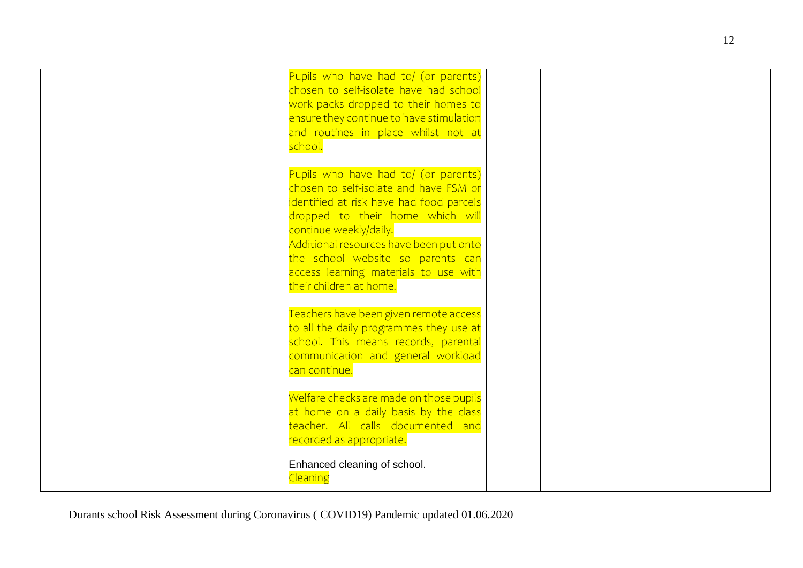| Pupils who have had to/ (or parents)     |  |
|------------------------------------------|--|
| chosen to self-isolate have had school   |  |
| work packs dropped to their homes to     |  |
| ensure they continue to have stimulation |  |
| and routines in place whilst not at      |  |
| school.                                  |  |
|                                          |  |
| Pupils who have had to/ (or parents)     |  |
| chosen to self-isolate and have FSM or   |  |
|                                          |  |
| identified at risk have had food parcels |  |
| dropped to their home which will         |  |
| continue weekly/daily.                   |  |
| Additional resources have been put onto  |  |
| the school website so parents can        |  |
| access learning materials to use with    |  |
| their children at home.                  |  |
|                                          |  |
| Teachers have been given remote access   |  |
| to all the daily programmes they use at  |  |
| school. This means records, parental     |  |
| communication and general workload       |  |
| can continue.                            |  |
|                                          |  |
| Welfare checks are made on those pupils  |  |
| at home on a daily basis by the class    |  |
| teacher. All calls documented and        |  |
| recorded as appropriate.                 |  |
|                                          |  |
| Enhanced cleaning of school.             |  |
| <b>Cleaning</b>                          |  |
|                                          |  |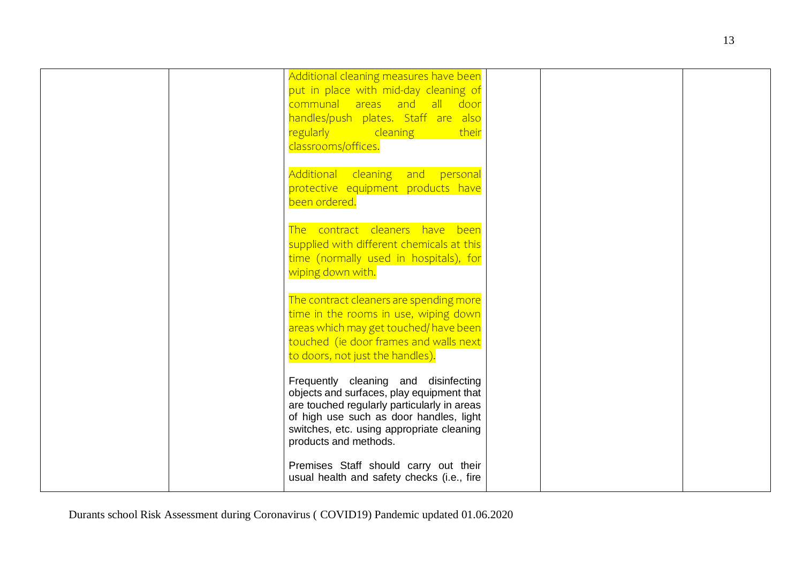| Additional cleaning measures have been<br>put in place with mid-day cleaning of<br>communal areas and all door<br>handles/push plates. Staff are also<br>regularly cleaning and<br>their<br>classrooms/offices.                                   |  |
|---------------------------------------------------------------------------------------------------------------------------------------------------------------------------------------------------------------------------------------------------|--|
| Additional cleaning and personal<br>protective equipment products have<br>been ordered.                                                                                                                                                           |  |
| The contract cleaners have been<br>supplied with different chemicals at this<br>time (normally used in hospitals), for<br>wiping down with.                                                                                                       |  |
| The contract cleaners are spending more<br>time in the rooms in use, wiping down<br>areas which may get touched/ have been<br>touched (ie door frames and walls next<br>to doors, not just the handles).                                          |  |
| Frequently cleaning and disinfecting<br>objects and surfaces, play equipment that<br>are touched regularly particularly in areas<br>of high use such as door handles, light<br>switches, etc. using appropriate cleaning<br>products and methods. |  |
| Premises Staff should carry out their<br>usual health and safety checks (i.e., fire                                                                                                                                                               |  |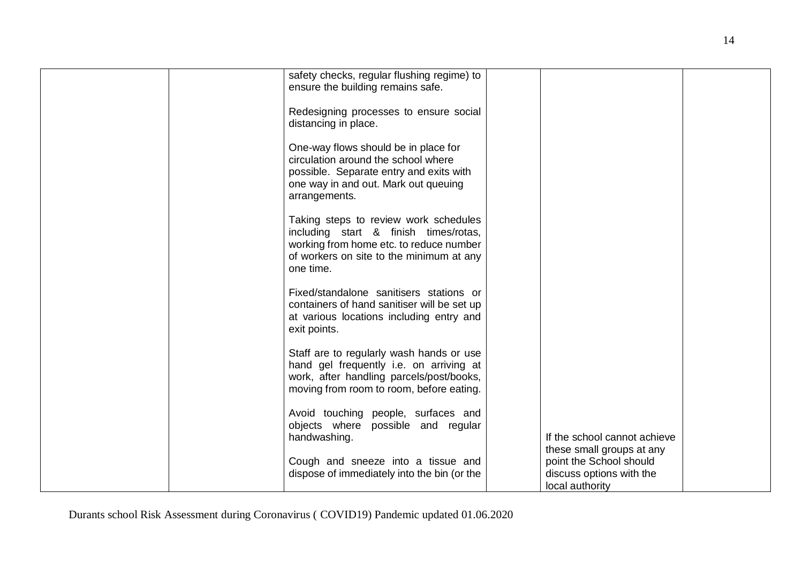| safety checks, regular flushing regime) to<br>ensure the building remains safe.<br>Redesigning processes to ensure social<br>distancing in place.<br>One-way flows should be in place for<br>circulation around the school where<br>possible. Separate entry and exits with<br>one way in and out. Mark out queuing<br>arrangements.<br>Taking steps to review work schedules<br>including start & finish times/rotas,<br>working from home etc. to reduce number |                                                                                                     |
|-------------------------------------------------------------------------------------------------------------------------------------------------------------------------------------------------------------------------------------------------------------------------------------------------------------------------------------------------------------------------------------------------------------------------------------------------------------------|-----------------------------------------------------------------------------------------------------|
| of workers on site to the minimum at any<br>one time.<br>Fixed/standalone sanitisers stations or<br>containers of hand sanitiser will be set up<br>at various locations including entry and<br>exit points.                                                                                                                                                                                                                                                       |                                                                                                     |
| Staff are to regularly wash hands or use<br>hand gel frequently i.e. on arriving at<br>work, after handling parcels/post/books,<br>moving from room to room, before eating.<br>Avoid touching people, surfaces and<br>objects where possible and regular<br>handwashing.                                                                                                                                                                                          | If the school cannot achieve                                                                        |
| Cough and sneeze into a tissue and<br>dispose of immediately into the bin (or the                                                                                                                                                                                                                                                                                                                                                                                 | these small groups at any<br>point the School should<br>discuss options with the<br>local authority |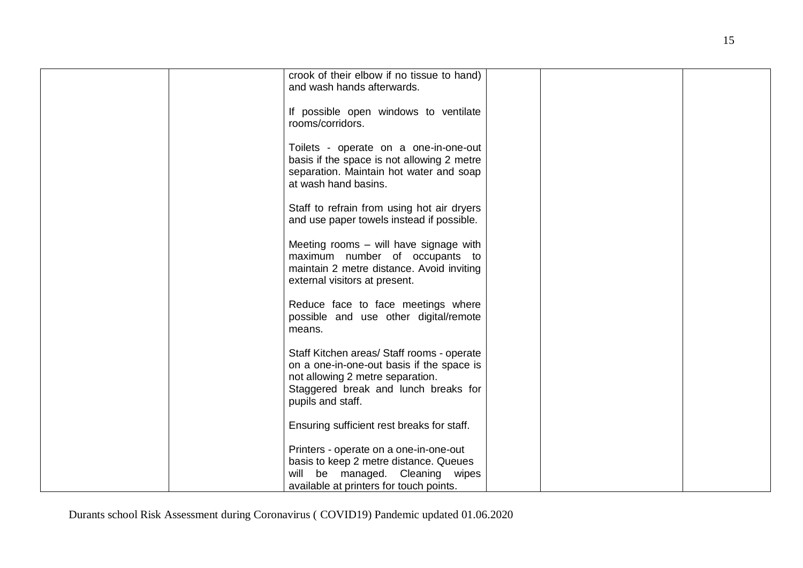| crook of their elbow if no tissue to hand)<br>and wash hands afterwards.                                                                                                                 |  |
|------------------------------------------------------------------------------------------------------------------------------------------------------------------------------------------|--|
| If possible open windows to ventilate<br>rooms/corridors.                                                                                                                                |  |
| Toilets - operate on a one-in-one-out<br>basis if the space is not allowing 2 metre<br>separation. Maintain hot water and soap<br>at wash hand basins.                                   |  |
| Staff to refrain from using hot air dryers<br>and use paper towels instead if possible.                                                                                                  |  |
| Meeting rooms - will have signage with<br>maximum number of occupants to<br>maintain 2 metre distance. Avoid inviting<br>external visitors at present.                                   |  |
| Reduce face to face meetings where<br>possible and use other digital/remote<br>means.                                                                                                    |  |
| Staff Kitchen areas/ Staff rooms - operate<br>on a one-in-one-out basis if the space is<br>not allowing 2 metre separation.<br>Staggered break and lunch breaks for<br>pupils and staff. |  |
| Ensuring sufficient rest breaks for staff.                                                                                                                                               |  |
| Printers - operate on a one-in-one-out<br>basis to keep 2 metre distance. Queues<br>will be managed. Cleaning wipes<br>available at printers for touch points.                           |  |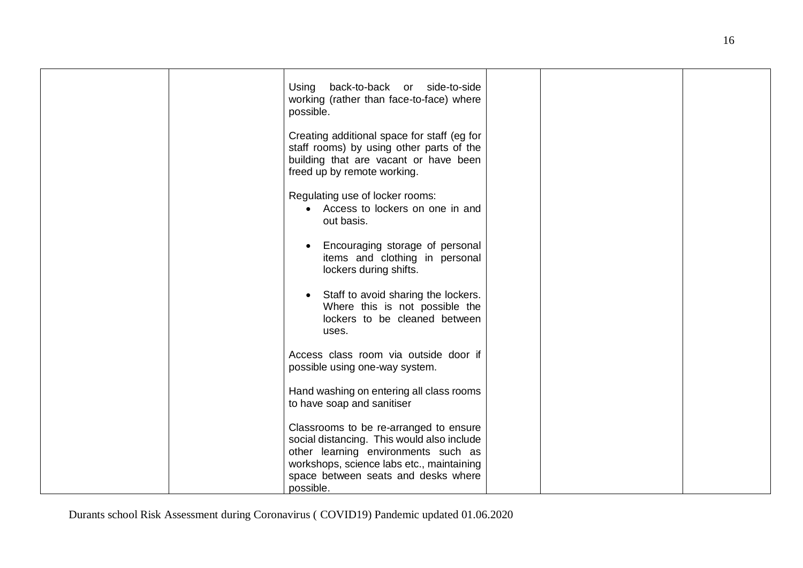| Using back-to-back or side-to-side<br>working (rather than face-to-face) where<br>possible.                                                                     |  |
|-----------------------------------------------------------------------------------------------------------------------------------------------------------------|--|
| Creating additional space for staff (eg for<br>staff rooms) by using other parts of the<br>building that are vacant or have been<br>freed up by remote working. |  |
| Regulating use of locker rooms:<br>• Access to lockers on one in and<br>out basis.                                                                              |  |
| Encouraging storage of personal<br>$\bullet$<br>items and clothing in personal<br>lockers during shifts.                                                        |  |
| Staff to avoid sharing the lockers.<br>$\bullet$<br>Where this is not possible the<br>lockers to be cleaned between<br>uses.                                    |  |
| Access class room via outside door if<br>possible using one-way system.                                                                                         |  |
| Hand washing on entering all class rooms<br>to have soap and sanitiser                                                                                          |  |
| Classrooms to be re-arranged to ensure<br>social distancing. This would also include<br>other learning environments such as                                     |  |
| workshops, science labs etc., maintaining<br>space between seats and desks where<br>possible.                                                                   |  |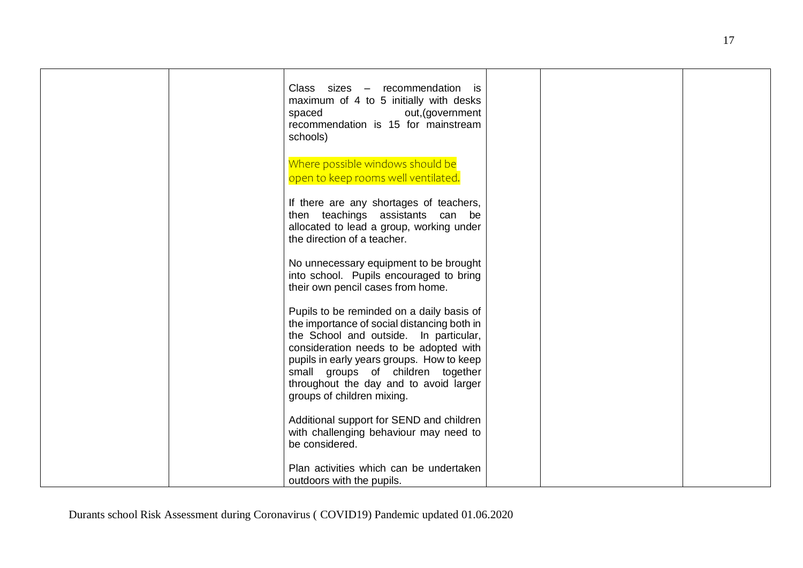|  | Class sizes - recommendation is<br>maximum of 4 to 5 initially with desks<br>out, (government<br>spaced<br>recommendation is 15 for mainstream<br>schools)                                                                                                                                                                             |  |  |
|--|----------------------------------------------------------------------------------------------------------------------------------------------------------------------------------------------------------------------------------------------------------------------------------------------------------------------------------------|--|--|
|  | Where possible windows should be<br>open to keep rooms well ventilated.                                                                                                                                                                                                                                                                |  |  |
|  | If there are any shortages of teachers,<br>then teachings assistants can be<br>allocated to lead a group, working under<br>the direction of a teacher.                                                                                                                                                                                 |  |  |
|  | No unnecessary equipment to be brought<br>into school. Pupils encouraged to bring<br>their own pencil cases from home.                                                                                                                                                                                                                 |  |  |
|  | Pupils to be reminded on a daily basis of<br>the importance of social distancing both in<br>the School and outside. In particular,<br>consideration needs to be adopted with<br>pupils in early years groups. How to keep<br>small groups of children together<br>throughout the day and to avoid larger<br>groups of children mixing. |  |  |
|  | Additional support for SEND and children<br>with challenging behaviour may need to<br>be considered.                                                                                                                                                                                                                                   |  |  |
|  | Plan activities which can be undertaken<br>outdoors with the pupils.                                                                                                                                                                                                                                                                   |  |  |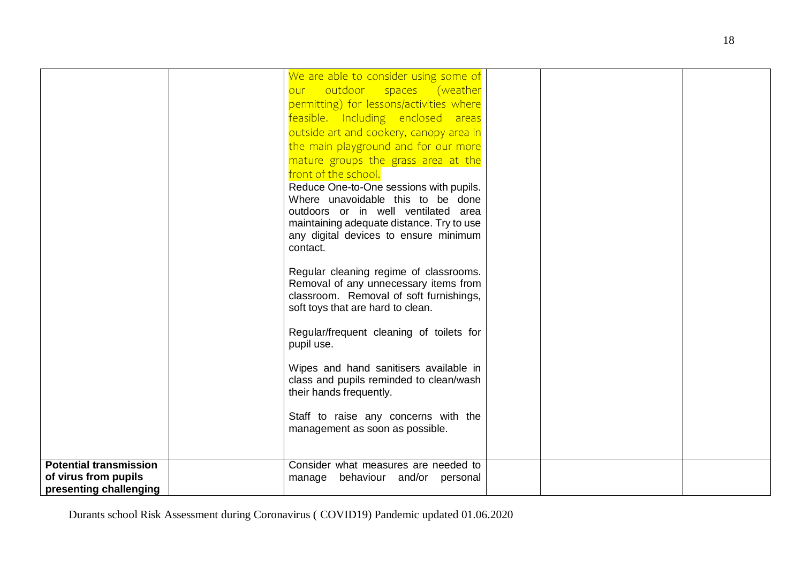|                                                                                 | We are able to consider using some of<br>our outdoor spaces (weather                                                                                            |  |  |
|---------------------------------------------------------------------------------|-----------------------------------------------------------------------------------------------------------------------------------------------------------------|--|--|
|                                                                                 | permitting) for lessons/activities where<br>feasible. Including enclosed areas<br>outside art and cookery, canopy area in                                       |  |  |
|                                                                                 | the main playground and for our more<br>mature groups the grass area at the                                                                                     |  |  |
|                                                                                 | front of the school.<br>Reduce One-to-One sessions with pupils.<br>Where unavoidable this to be done                                                            |  |  |
|                                                                                 | outdoors or in well ventilated area<br>maintaining adequate distance. Try to use                                                                                |  |  |
|                                                                                 | any digital devices to ensure minimum<br>contact.                                                                                                               |  |  |
|                                                                                 | Regular cleaning regime of classrooms.<br>Removal of any unnecessary items from<br>classroom. Removal of soft furnishings,<br>soft toys that are hard to clean. |  |  |
|                                                                                 | Regular/frequent cleaning of toilets for<br>pupil use.                                                                                                          |  |  |
|                                                                                 | Wipes and hand sanitisers available in<br>class and pupils reminded to clean/wash<br>their hands frequently.                                                    |  |  |
|                                                                                 | Staff to raise any concerns with the<br>management as soon as possible.                                                                                         |  |  |
| <b>Potential transmission</b><br>of virus from pupils<br>presenting challenging | Consider what measures are needed to<br>manage behaviour and/or personal                                                                                        |  |  |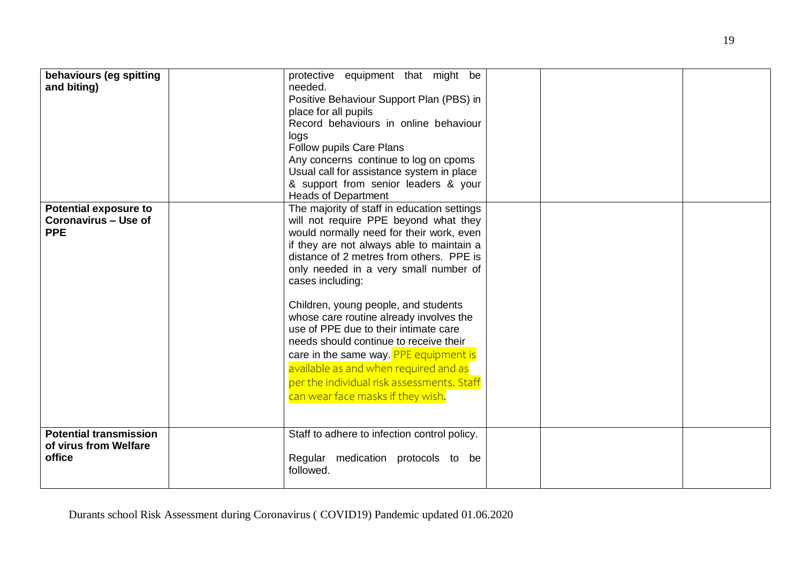| behaviours (eg spitting<br>and biting)                                    | protective equipment that might be<br>needed.<br>Positive Behaviour Support Plan (PBS) in<br>place for all pupils<br>Record behaviours in online behaviour<br>logs<br>Follow pupils Care Plans<br>Any concerns continue to log on cpoms<br>Usual call for assistance system in place<br>& support from senior leaders & your<br><b>Heads of Department</b>                                                                                                                                                                                                                                                                         |  |  |
|---------------------------------------------------------------------------|------------------------------------------------------------------------------------------------------------------------------------------------------------------------------------------------------------------------------------------------------------------------------------------------------------------------------------------------------------------------------------------------------------------------------------------------------------------------------------------------------------------------------------------------------------------------------------------------------------------------------------|--|--|
| <b>Potential exposure to</b><br><b>Coronavirus - Use of</b><br><b>PPE</b> | The majority of staff in education settings<br>will not require PPE beyond what they<br>would normally need for their work, even<br>if they are not always able to maintain a<br>distance of 2 metres from others. PPE is<br>only needed in a very small number of<br>cases including:<br>Children, young people, and students<br>whose care routine already involves the<br>use of PPE due to their intimate care<br>needs should continue to receive their<br>care in the same way. PPE equipment is<br>available as and when required and as<br>per the individual risk assessments. Staff<br>can wear face masks if they wish. |  |  |
| <b>Potential transmission</b><br>of virus from Welfare<br>office          | Staff to adhere to infection control policy.<br>Regular medication protocols to be<br>followed.                                                                                                                                                                                                                                                                                                                                                                                                                                                                                                                                    |  |  |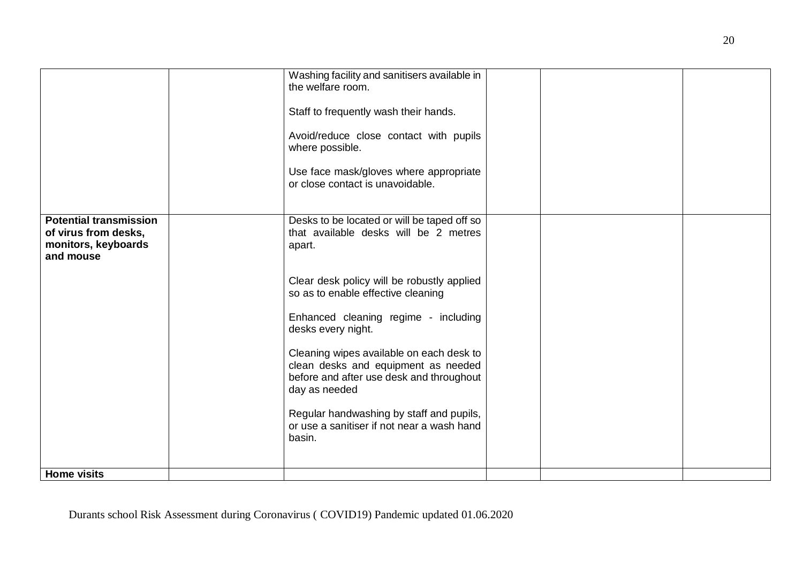|                                                          | Washing facility and sanitisers available in<br>the welfare room.<br>Staff to frequently wash their hands.<br>Avoid/reduce close contact with pupils |  |  |
|----------------------------------------------------------|------------------------------------------------------------------------------------------------------------------------------------------------------|--|--|
|                                                          | where possible.<br>Use face mask/gloves where appropriate                                                                                            |  |  |
| <b>Potential transmission</b>                            | or close contact is unavoidable.<br>Desks to be located or will be taped off so                                                                      |  |  |
| of virus from desks,<br>monitors, keyboards<br>and mouse | that available desks will be 2 metres<br>apart.                                                                                                      |  |  |
|                                                          | Clear desk policy will be robustly applied<br>so as to enable effective cleaning                                                                     |  |  |
|                                                          | Enhanced cleaning regime - including<br>desks every night.<br>Cleaning wipes available on each desk to                                               |  |  |
|                                                          | clean desks and equipment as needed<br>before and after use desk and throughout<br>day as needed                                                     |  |  |
|                                                          | Regular handwashing by staff and pupils,<br>or use a sanitiser if not near a wash hand<br>basin.                                                     |  |  |
| <b>Home visits</b>                                       |                                                                                                                                                      |  |  |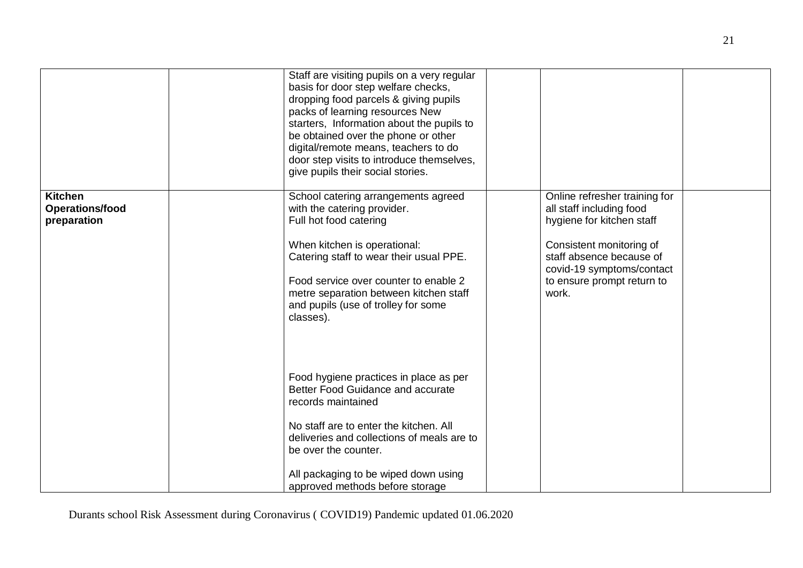|                                                         | Staff are visiting pupils on a very regular<br>basis for door step welfare checks,<br>dropping food parcels & giving pupils<br>packs of learning resources New<br>starters, Information about the pupils to<br>be obtained over the phone or other<br>digital/remote means, teachers to do<br>door step visits to introduce themselves,<br>give pupils their social stories. |                                                                                                                                                                                                                    |  |
|---------------------------------------------------------|------------------------------------------------------------------------------------------------------------------------------------------------------------------------------------------------------------------------------------------------------------------------------------------------------------------------------------------------------------------------------|--------------------------------------------------------------------------------------------------------------------------------------------------------------------------------------------------------------------|--|
| <b>Kitchen</b><br><b>Operations/food</b><br>preparation | School catering arrangements agreed<br>with the catering provider.<br>Full hot food catering<br>When kitchen is operational:<br>Catering staff to wear their usual PPE.<br>Food service over counter to enable 2<br>metre separation between kitchen staff<br>and pupils (use of trolley for some<br>classes).                                                               | Online refresher training for<br>all staff including food<br>hygiene for kitchen staff<br>Consistent monitoring of<br>staff absence because of<br>covid-19 symptoms/contact<br>to ensure prompt return to<br>work. |  |
|                                                         | Food hygiene practices in place as per<br>Better Food Guidance and accurate<br>records maintained<br>No staff are to enter the kitchen. All<br>deliveries and collections of meals are to<br>be over the counter.<br>All packaging to be wiped down using<br>approved methods before storage                                                                                 |                                                                                                                                                                                                                    |  |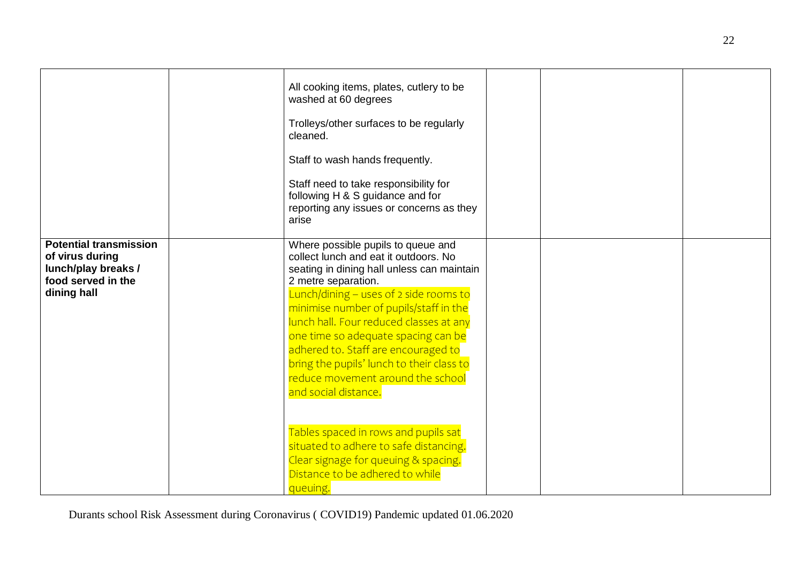|                                                                                                              | All cooking items, plates, cutlery to be<br>washed at 60 degrees<br>Trolleys/other surfaces to be regularly<br>cleaned.<br>Staff to wash hands frequently.<br>Staff need to take responsibility for<br>following H & S guidance and for<br>reporting any issues or concerns as they<br>arise                                                                                                                                                                                                                                                                                                                                                     |  |  |
|--------------------------------------------------------------------------------------------------------------|--------------------------------------------------------------------------------------------------------------------------------------------------------------------------------------------------------------------------------------------------------------------------------------------------------------------------------------------------------------------------------------------------------------------------------------------------------------------------------------------------------------------------------------------------------------------------------------------------------------------------------------------------|--|--|
| <b>Potential transmission</b><br>of virus during<br>lunch/play breaks /<br>food served in the<br>dining hall | Where possible pupils to queue and<br>collect lunch and eat it outdoors. No<br>seating in dining hall unless can maintain<br>2 metre separation.<br>Lunch/dining - uses of 2 side rooms to<br>minimise number of pupils/staff in the<br>lunch hall. Four reduced classes at any<br>one time so adequate spacing can be<br>adhered to. Staff are encouraged to<br>bring the pupils' lunch to their class to<br>reduce movement around the school<br>and social distance.<br>Tables spaced in rows and pupils sat<br>situated to adhere to safe distancing.<br>Clear signage for queuing & spacing.<br>Distance to be adhered to while<br>queuing. |  |  |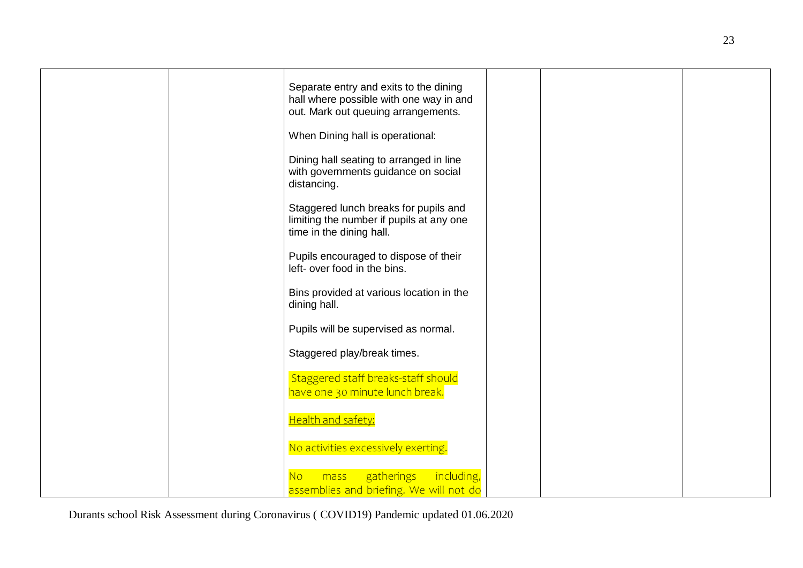|  | Separate entry and exits to the dining<br>hall where possible with one way in and<br>out. Mark out queuing arrangements. |  |  |
|--|--------------------------------------------------------------------------------------------------------------------------|--|--|
|  | When Dining hall is operational:                                                                                         |  |  |
|  | Dining hall seating to arranged in line<br>with governments guidance on social<br>distancing.                            |  |  |
|  | Staggered lunch breaks for pupils and<br>limiting the number if pupils at any one<br>time in the dining hall.            |  |  |
|  | Pupils encouraged to dispose of their<br>left- over food in the bins.                                                    |  |  |
|  | Bins provided at various location in the<br>dining hall.                                                                 |  |  |
|  | Pupils will be supervised as normal.                                                                                     |  |  |
|  | Staggered play/break times.                                                                                              |  |  |
|  | Staggered staff breaks-staff should<br>have one 30 minute lunch break.                                                   |  |  |
|  | Health and safety:                                                                                                       |  |  |
|  | No activities excessively exerting.                                                                                      |  |  |
|  | gatherings including,<br>No<br>mass                                                                                      |  |  |
|  | assemblies and briefing. We will not do                                                                                  |  |  |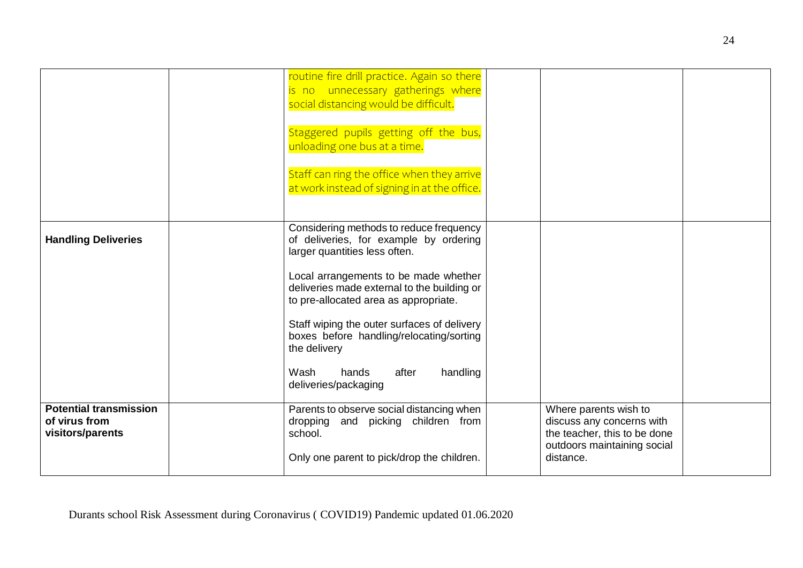|                                                                    | routine fire drill practice. Again so there<br>is no unnecessary gatherings where<br>social distancing would be difficult.<br>Staggered pupils getting off the bus,<br>unloading one bus at a time.<br>Staff can ring the office when they arrive<br>at work instead of signing in at the office.                                                                                                                            |                                                                                                                                |  |
|--------------------------------------------------------------------|------------------------------------------------------------------------------------------------------------------------------------------------------------------------------------------------------------------------------------------------------------------------------------------------------------------------------------------------------------------------------------------------------------------------------|--------------------------------------------------------------------------------------------------------------------------------|--|
| <b>Handling Deliveries</b>                                         | Considering methods to reduce frequency<br>of deliveries, for example by ordering<br>larger quantities less often.<br>Local arrangements to be made whether<br>deliveries made external to the building or<br>to pre-allocated area as appropriate.<br>Staff wiping the outer surfaces of delivery<br>boxes before handling/relocating/sorting<br>the delivery<br>Wash<br>after<br>handling<br>hands<br>deliveries/packaging |                                                                                                                                |  |
| <b>Potential transmission</b><br>of virus from<br>visitors/parents | Parents to observe social distancing when<br>dropping and picking children from<br>school.<br>Only one parent to pick/drop the children.                                                                                                                                                                                                                                                                                     | Where parents wish to<br>discuss any concerns with<br>the teacher, this to be done<br>outdoors maintaining social<br>distance. |  |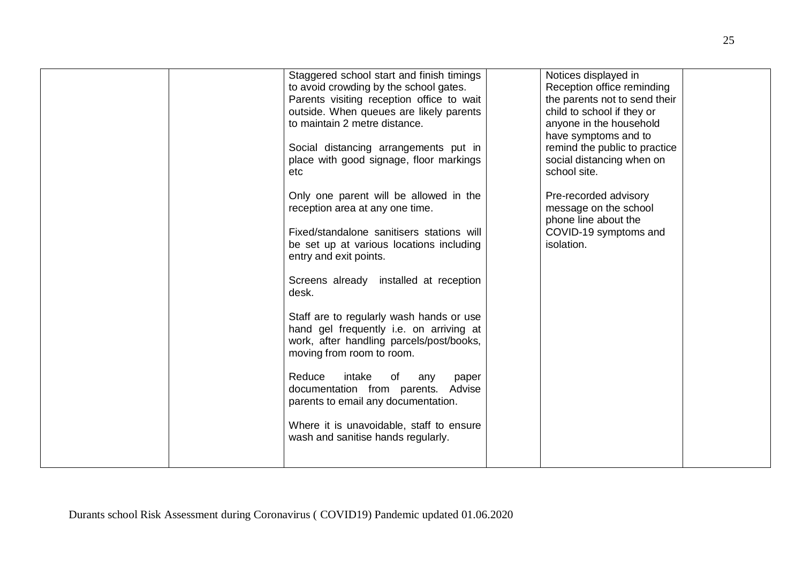| Staggered school start and finish timings<br>to avoid crowding by the school gates.<br>Parents visiting reception office to wait<br>outside. When queues are likely parents<br>to maintain 2 metre distance.<br>Social distancing arrangements put in<br>place with good signage, floor markings<br>etc<br>Only one parent will be allowed in the<br>reception area at any one time.<br>Fixed/standalone sanitisers stations will<br>be set up at various locations including<br>entry and exit points.<br>Screens already installed at reception<br>desk.<br>Staff are to regularly wash hands or use<br>hand gel frequently i.e. on arriving at | Notices displayed in<br>Reception office reminding<br>the parents not to send their<br>child to school if they or<br>anyone in the household<br>have symptoms and to<br>remind the public to practice<br>social distancing when on<br>school site.<br>Pre-recorded advisory<br>message on the school<br>phone line about the<br>COVID-19 symptoms and<br>isolation. |
|---------------------------------------------------------------------------------------------------------------------------------------------------------------------------------------------------------------------------------------------------------------------------------------------------------------------------------------------------------------------------------------------------------------------------------------------------------------------------------------------------------------------------------------------------------------------------------------------------------------------------------------------------|---------------------------------------------------------------------------------------------------------------------------------------------------------------------------------------------------------------------------------------------------------------------------------------------------------------------------------------------------------------------|
| work, after handling parcels/post/books,<br>moving from room to room.<br>Reduce<br>intake<br>of<br>any<br>paper<br>documentation from parents. Advise<br>parents to email any documentation.<br>Where it is unavoidable, staff to ensure                                                                                                                                                                                                                                                                                                                                                                                                          |                                                                                                                                                                                                                                                                                                                                                                     |
| wash and sanitise hands regularly.                                                                                                                                                                                                                                                                                                                                                                                                                                                                                                                                                                                                                |                                                                                                                                                                                                                                                                                                                                                                     |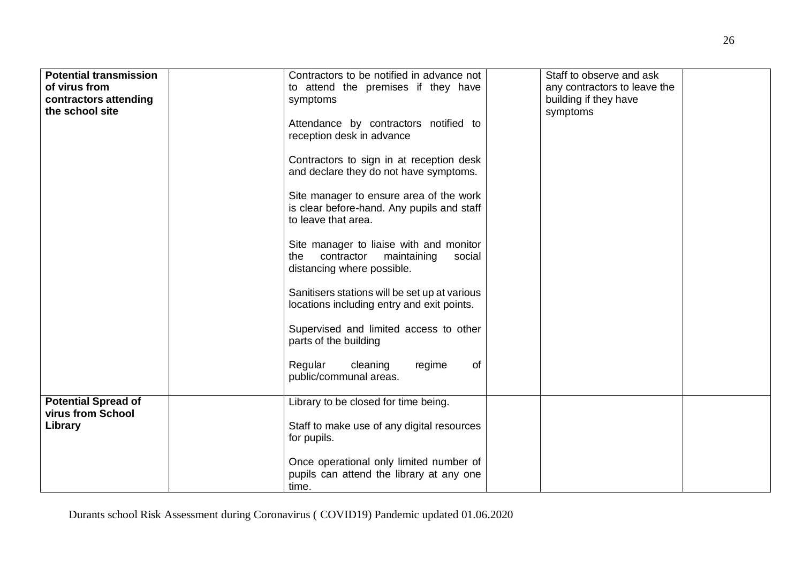| <b>Potential transmission</b><br>of virus from<br>contractors attending<br>the school site | Contractors to be notified in advance not<br>to attend the premises if they have<br>symptoms<br>Attendance by contractors notified to<br>reception desk in advance<br>Contractors to sign in at reception desk<br>and declare they do not have symptoms.<br>Site manager to ensure area of the work<br>is clear before-hand. Any pupils and staff<br>to leave that area.<br>Site manager to liaise with and monitor<br>contractor maintaining<br>the<br>social<br>distancing where possible.<br>Sanitisers stations will be set up at various<br>locations including entry and exit points.<br>Supervised and limited access to other<br>parts of the building<br>cleaning<br>Regular<br>regime<br>of | Staff to observe and ask<br>any contractors to leave the<br>building if they have<br>symptoms |
|--------------------------------------------------------------------------------------------|-------------------------------------------------------------------------------------------------------------------------------------------------------------------------------------------------------------------------------------------------------------------------------------------------------------------------------------------------------------------------------------------------------------------------------------------------------------------------------------------------------------------------------------------------------------------------------------------------------------------------------------------------------------------------------------------------------|-----------------------------------------------------------------------------------------------|
|                                                                                            | public/communal areas.                                                                                                                                                                                                                                                                                                                                                                                                                                                                                                                                                                                                                                                                                |                                                                                               |
| <b>Potential Spread of</b><br>virus from School<br>Library                                 | Library to be closed for time being.<br>Staff to make use of any digital resources<br>for pupils.<br>Once operational only limited number of<br>pupils can attend the library at any one<br>time.                                                                                                                                                                                                                                                                                                                                                                                                                                                                                                     |                                                                                               |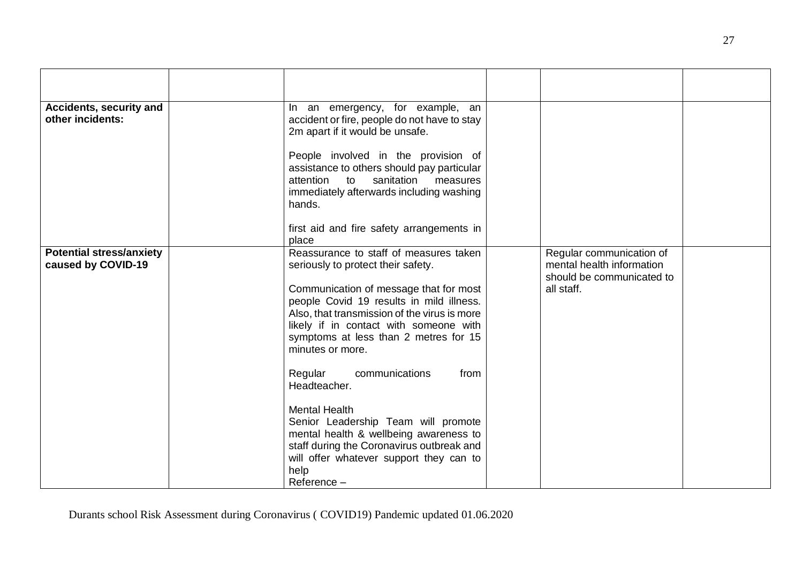| Accidents, security and<br>other incidents:           | In an emergency, for example, an<br>accident or fire, people do not have to stay<br>2m apart if it would be unsafe.<br>People involved in the provision of<br>assistance to others should pay particular<br>sanitation<br>attention<br>to<br>measures<br>immediately afterwards including washing<br>hands.<br>first aid and fire safety arrangements in<br>place                                                                                                                                                                                                                                      |                                                                                                  |
|-------------------------------------------------------|--------------------------------------------------------------------------------------------------------------------------------------------------------------------------------------------------------------------------------------------------------------------------------------------------------------------------------------------------------------------------------------------------------------------------------------------------------------------------------------------------------------------------------------------------------------------------------------------------------|--------------------------------------------------------------------------------------------------|
| <b>Potential stress/anxiety</b><br>caused by COVID-19 | Reassurance to staff of measures taken<br>seriously to protect their safety.<br>Communication of message that for most<br>people Covid 19 results in mild illness.<br>Also, that transmission of the virus is more<br>likely if in contact with someone with<br>symptoms at less than 2 metres for 15<br>minutes or more.<br>communications<br>Regular<br>from<br>Headteacher.<br><b>Mental Health</b><br>Senior Leadership Team will promote<br>mental health & wellbeing awareness to<br>staff during the Coronavirus outbreak and<br>will offer whatever support they can to<br>help<br>Reference - | Regular communication of<br>mental health information<br>should be communicated to<br>all staff. |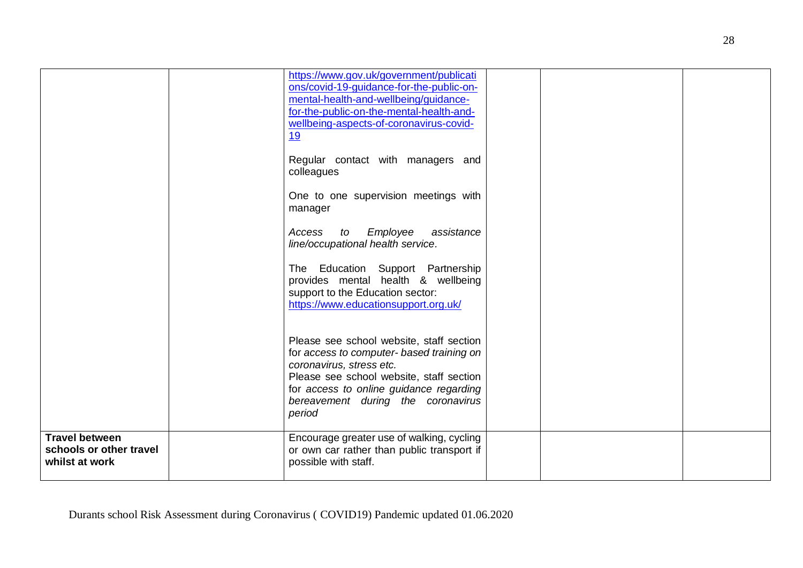|                                                                    | https://www.gov.uk/government/publicati<br>ons/covid-19-guidance-for-the-public-on-<br>mental-health-and-wellbeing/guidance-<br>for-the-public-on-the-mental-health-and-<br>wellbeing-aspects-of-coronavirus-covid-<br><u>19</u><br>Regular contact with managers and<br>colleagues<br>One to one supervision meetings with<br>manager<br>Employee<br>assistance<br>Access<br>to<br>line/occupational health service.<br>The Education Support Partnership<br>provides mental health & wellbeing<br>support to the Education sector:<br>https://www.educationsupport.org.uk/ |  |  |
|--------------------------------------------------------------------|------------------------------------------------------------------------------------------------------------------------------------------------------------------------------------------------------------------------------------------------------------------------------------------------------------------------------------------------------------------------------------------------------------------------------------------------------------------------------------------------------------------------------------------------------------------------------|--|--|
|                                                                    | Please see school website, staff section<br>for access to computer- based training on<br>coronavirus, stress etc.<br>Please see school website, staff section<br>for access to online guidance regarding<br>bereavement during the coronavirus<br>period                                                                                                                                                                                                                                                                                                                     |  |  |
| <b>Travel between</b><br>schools or other travel<br>whilst at work | Encourage greater use of walking, cycling<br>or own car rather than public transport if<br>possible with staff.                                                                                                                                                                                                                                                                                                                                                                                                                                                              |  |  |